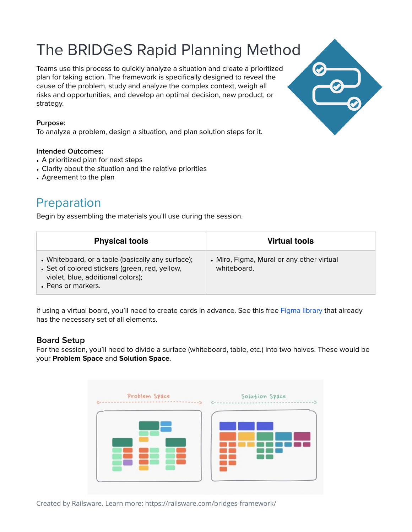# The BRIDGeS Rapid Planning Method<br>Teams use this process to quickly analyze a situation and create a prioritized

plan for taking action. The framework is specifically designed to reveal the cause of the problem, study and analyze the complex context, weigh all risks and opportunities, and develop an optimal decision, new product, or strategy.

#### **Purpose:**

To analyze a problem, design a situation, and plan solution steps for it.

#### **Intended Outcomes:**

- A prioritized plan for next steps
- Clarity about the situation and the relative priorities
- Agreement to the plan

## Preparation

Begin by assembling the materials you'll use during the session.

| <b>Physical tools</b>                                                                                                                                          | Virtual tools                                            |
|----------------------------------------------------------------------------------------------------------------------------------------------------------------|----------------------------------------------------------|
| • Whiteboard, or a table (basically any surface);<br>• Set of colored stickers (green, red, yellow,<br>violet, blue, additional colors);<br>• Pens or markers. | • Miro, Figma, Mural or any other virtual<br>whiteboard. |

If using a virtual board, you'll need to create cards in advance. See this free [Figma library](https://www.figma.com/community/file/1027589188792336429) that already has the necessary set of all elements.

#### **Board Setup**

For the session, you'll need to divide a surface (whiteboard, table, etc.) into two halves. These would be your **Problem Space** and **Solution Space**.





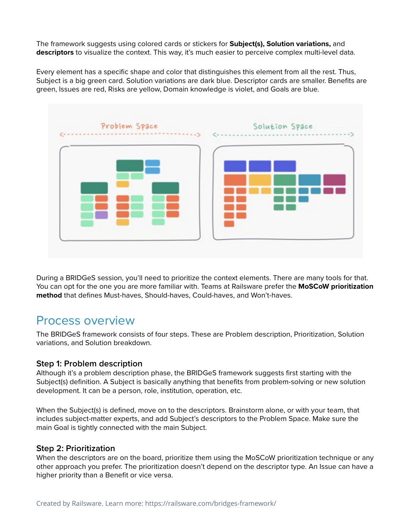The framework suggests using colored cards or stickers for **Subject(s), Solution variations,** and **descriptors** to visualize the context. This way, it's much easier to perceive complex multi-level data.

Every element has a specific shape and color that distinguishes this element from all the rest. Thus, Subject is a big green card. Solution variations are dark blue. Descriptor cards are smaller. Benefits are green, Issues are red, Risks are yellow, Domain knowledge is violet, and Goals are blue.



During a BRIDGeS session, you'll need to prioritize the context elements. There are many tools for that. You can opt for the one you are more familiar with. Teams at Railsware prefer the **MoSCoW prioritization method** that defines Must-haves, Should-haves, Could-haves, and Won't-haves.

### Process overview

The BRIDGeS framework consists of four steps. These are Problem description, Prioritization, Solution variations, and Solution breakdown.

#### **Step 1: Problem description**

Although it's a problem description phase, the BRIDGeS framework suggests first starting with the Subject(s) definition. A Subject is basically anything that benefits from problem-solving or new solution development. It can be a person, role, institution, operation, etc.

When the Subject(s) is defined, move on to the descriptors. Brainstorm alone, or with your team, that includes subject-matter experts, and add Subject's descriptors to the Problem Space. Make sure the main Goal is tightly connected with the main Subject.

#### **Step 2: Prioritization**

When the descriptors are on the board, prioritize them using the MoSCoW prioritization technique or any other approach you prefer. The prioritization doesn't depend on the descriptor type. An Issue can have a higher priority than a Benefit or vice versa.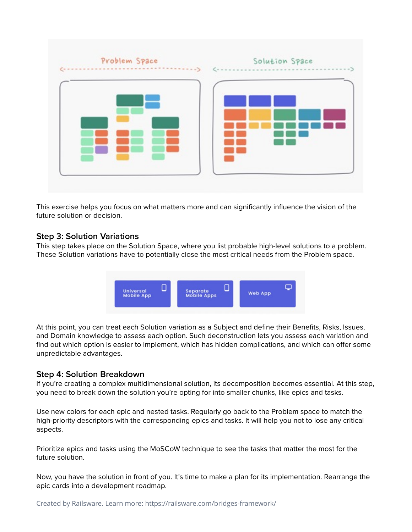

This exercise helps you focus on what matters more and can significantly influence the vision of the future solution or decision.

#### **Step 3: Solution Variations**

This step takes place on the Solution Space, where you list probable high-level solutions to a problem. These Solution variations have to potentially close the most critical needs from the Problem space.



At this point, you can treat each Solution variation as a Subject and define their Benefits, Risks, Issues, and Domain knowledge to assess each option. Such deconstruction lets you assess each variation and find out which option is easier to implement, which has hidden complications, and which can offer some unpredictable advantages.

#### **Step 4: Solution Breakdown**

If you're creating a complex multidimensional solution, its decomposition becomes essential. At this step, you need to break down the solution you're opting for into smaller chunks, like epics and tasks.

Use new colors for each epic and nested tasks. Regularly go back to the Problem space to match the high-priority descriptors with the corresponding epics and tasks. It will help you not to lose any critical aspects.

Prioritize epics and tasks using the MoSCoW technique to see the tasks that matter the most for the future solution.

Now, you have the solution in front of you. It's time to make a plan for its implementation. Rearrange the epic cards into a development roadmap.